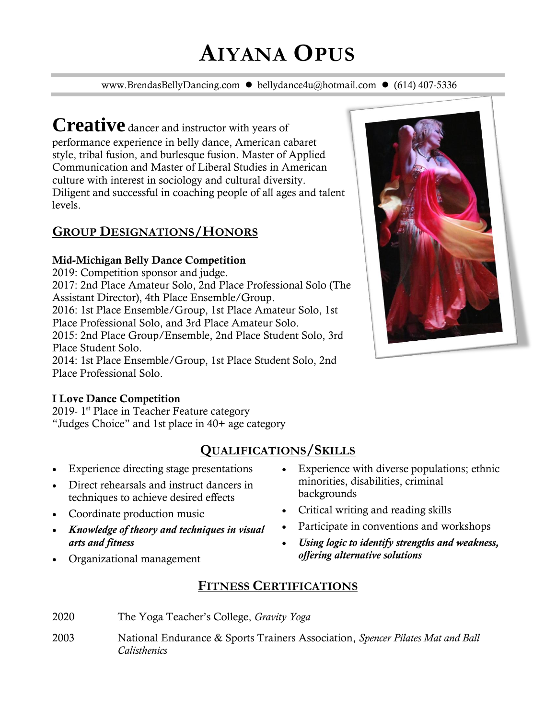# **AIYANA OPUS**

www.BrendasBellyDancing.com ⚫ bellydance4u@hotmail.com ⚫ (614) 407-5336

**Creative** dancer and instructor with years of performance experience in belly dance, American cabaret style, tribal fusion, and burlesque fusion. Master of Applied Communication and Master of Liberal Studies in American culture with interest in sociology and cultural diversity. Diligent and successful in coaching people of all ages and talent levels.

## **GROUP DESIGNATIONS/HONORS**

#### Mid-Michigan Belly Dance Competition

2019: Competition sponsor and judge. 2017: 2nd Place Amateur Solo, 2nd Place Professional Solo (The Assistant Director), 4th Place Ensemble/Group. 2016: 1st Place Ensemble/Group, 1st Place Amateur Solo, 1st Place Professional Solo, and 3rd Place Amateur Solo. 2015: 2nd Place Group/Ensemble, 2nd Place Student Solo, 3rd Place Student Solo. 2014: 1st Place Ensemble/Group, 1st Place Student Solo, 2nd

Place Professional Solo.



2019- 1<sup>st</sup> Place in Teacher Feature category "Judges Choice" and 1st place in 40+ age category

# **QUALIFICATIONS/SKILLS**

- Experience directing stage presentations
- Direct rehearsals and instruct dancers in techniques to achieve desired effects
- Coordinate production music
- *Knowledge of theory and techniques in visual arts and fitness*
- Organizational management
- Experience with diverse populations; ethnic minorities, disabilities, criminal backgrounds
- Critical writing and reading skills
- Participate in conventions and workshops
- *Using logic to identify strengths and weakness, offering alternative solutions*

## **FITNESS CERTIFICATIONS**

- 2020 The Yoga Teacher's College, *Gravity Yoga*
- 2003 National Endurance & Sports Trainers Association, *Spencer Pilates Mat and Ball Calisthenics*

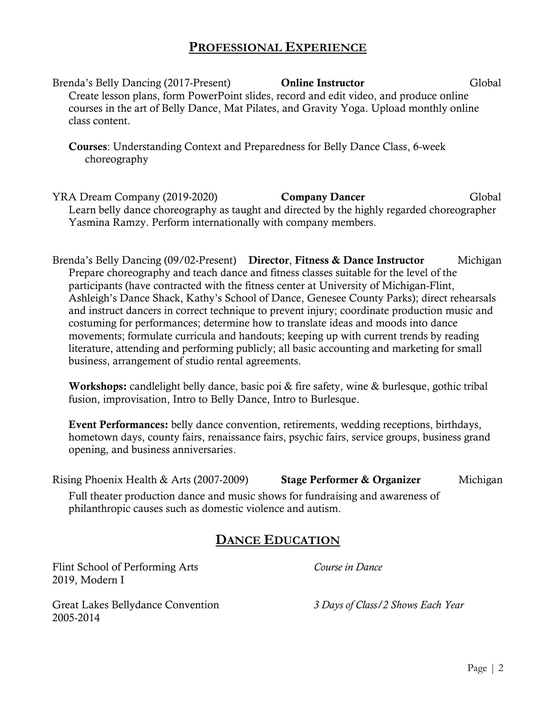#### **PROFESSIONAL EXPERIENCE**

Brenda's Belly Dancing (2017-Present) **Online Instructor** Global Create lesson plans, form PowerPoint slides, record and edit video, and produce online courses in the art of Belly Dance, Mat Pilates, and Gravity Yoga. Upload monthly online class content.

Courses: Understanding Context and Preparedness for Belly Dance Class, 6-week choreography

YRA Dream Company (2019-2020) **Company Dancer** Global Learn belly dance choreography as taught and directed by the highly regarded choreographer Yasmina Ramzy. Perform internationally with company members.

Brenda's Belly Dancing (09/02-Present) Director, Fitness & Dance Instructor Michigan Prepare choreography and teach dance and fitness classes suitable for the level of the participants (have contracted with the fitness center at University of Michigan-Flint, Ashleigh's Dance Shack, Kathy's School of Dance, Genesee County Parks); direct rehearsals and instruct dancers in correct technique to prevent injury; coordinate production music and costuming for performances; determine how to translate ideas and moods into dance movements; formulate curricula and handouts; keeping up with current trends by reading literature, attending and performing publicly; all basic accounting and marketing for small business, arrangement of studio rental agreements.

Workshops: candlelight belly dance, basic poi & fire safety, wine & burlesque, gothic tribal fusion, improvisation, Intro to Belly Dance, Intro to Burlesque.

Event Performances: belly dance convention, retirements, wedding receptions, birthdays, hometown days, county fairs, renaissance fairs, psychic fairs, service groups, business grand opening, and business anniversaries.

Rising Phoenix Health & Arts (2007-2009) Stage Performer & Organizer Michigan Full theater production dance and music shows for fundraising and awareness of philanthropic causes such as domestic violence and autism.

## **DANCE EDUCATION**

Flint School of Performing Arts *Course in Dance* 2019, Modern I

Great Lakes Bellydance Convention *3 Days of Class/2 Shows Each Year*  2005-2014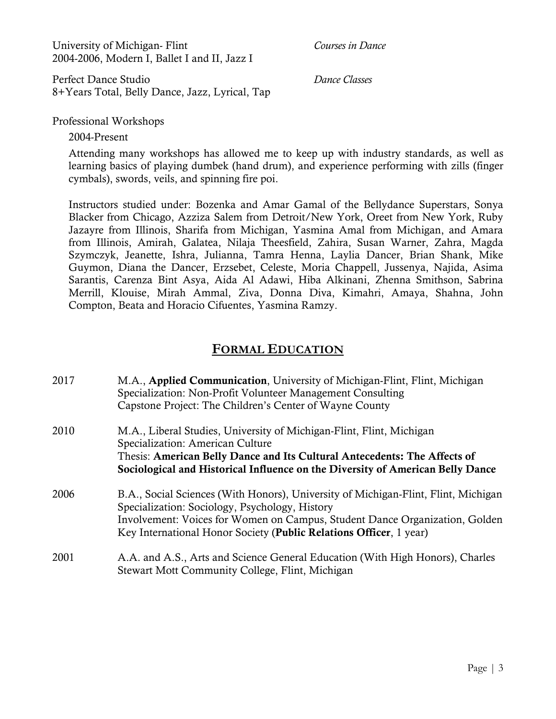University of Michigan- Flint *Courses in Dance*  2004-2006, Modern I, Ballet I and II, Jazz I

Perfect Dance Studio *Dance Classes*  8+Years Total, Belly Dance, Jazz, Lyrical, Tap

Professional Workshops

2004-Present

Attending many workshops has allowed me to keep up with industry standards, as well as learning basics of playing dumbek (hand drum), and experience performing with zills (finger cymbals), swords, veils, and spinning fire poi.

Instructors studied under: Bozenka and Amar Gamal of the Bellydance Superstars, Sonya Blacker from Chicago, Azziza Salem from Detroit/New York, Oreet from New York, Ruby Jazayre from Illinois, Sharifa from Michigan, Yasmina Amal from Michigan, and Amara from Illinois, Amirah, Galatea, Nilaja Theesfield, Zahira, Susan Warner, Zahra, Magda Szymczyk, Jeanette, Ishra, Julianna, Tamra Henna, Laylia Dancer, Brian Shank, Mike Guymon, Diana the Dancer, Erzsebet, Celeste, Moria Chappell, Jussenya, Najida, Asima Sarantis, Carenza Bint Asya, Aida Al Adawi, Hiba Alkinani, Zhenna Smithson, Sabrina Merrill, Klouise, Mirah Ammal, Ziva, Donna Diva, Kimahri, Amaya, Shahna, John Compton, Beata and Horacio Cifuentes, Yasmina Ramzy.

## **FORMAL EDUCATION**

| 2017 | M.A., <b>Applied Communication</b> , University of Michigan-Flint, Flint, Michigan<br>Specialization: Non-Profit Volunteer Management Consulting<br>Capstone Project: The Children's Center of Wayne County |  |
|------|-------------------------------------------------------------------------------------------------------------------------------------------------------------------------------------------------------------|--|
| 2010 | M.A., Liberal Studies, University of Michigan-Flint, Flint, Michigan                                                                                                                                        |  |

Specialization: American Culture Thesis: American Belly Dance and Its Cultural Antecedents: The Affects of Sociological and Historical Influence on the Diversity of American Belly Dance

- 2006 B.A., Social Sciences (With Honors), University of Michigan-Flint, Flint, Michigan Specialization: Sociology, Psychology, History Involvement: Voices for Women on Campus, Student Dance Organization, Golden Key International Honor Society (Public Relations Officer, 1 year)
- 2001 A.A. and A.S., Arts and Science General Education (With High Honors), Charles Stewart Mott Community College, Flint, Michigan